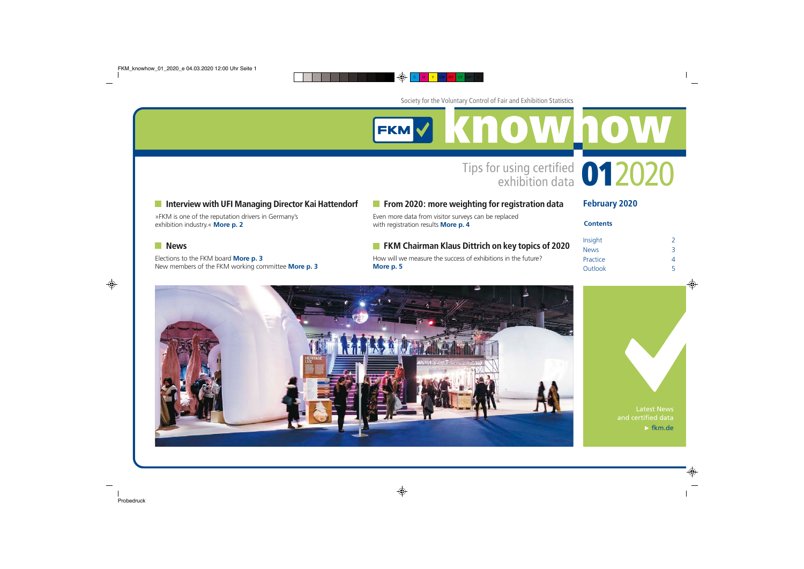EKMY KNOWhow

## **Interview with UFI Managing Director Kai Hattendorf**

»FKM is one of the reputation drivers in Germany's exhibition industry.« **[More p. 2](#page-1-0)**

#### **News**

Elections to the FKM board **[More p. 3](#page-2-0)** New members of the FKM working committee **[More p. 3](#page-2-0)**

### **From 2020: more weighting for registration data**

Even more data from visitor surveys can be replaced with registration results **[More p. 4](#page-3-0)**

### **FKM Chairman Klaus Dittrich on key topics of 2020**

How will we measure the success of exhibitions in the future? **[More p. 5](#page-4-0)**

February 2020

#### **Contents**

Tips for using certified **012020** 

| Insight     | 2 |
|-------------|---|
| <b>News</b> | ₹ |
| Practice    | Δ |
| Outlook     | 5 |





Latest News and certified data  $\blacktriangleright$  [fkm.de](https://www.fkm.de/en/)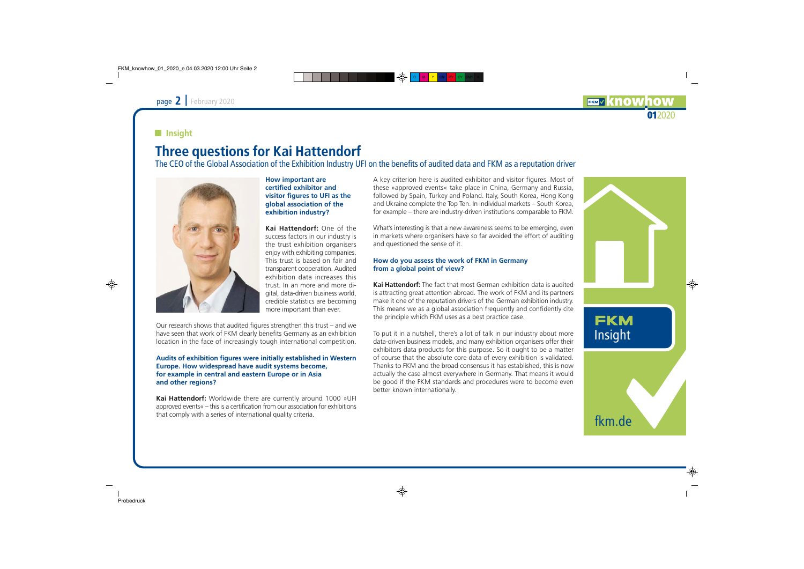## **EKMV KNO** 012020

## <span id="page-1-0"></span>**Insight**

# Three questions for Kai Hattendorf

The CEO of the Global Association of the Exhibition Industry UFI on the benefits of audited data and FKM as a reputation driver



**How important are certified exhibitor and visitor figures to UFI as the global association of the exhibition industry?**

**Kai Hattendorf:** One of the success factors in our industry is the trust exhibition organisers enjoy with exhibiting companies. This trust is based on fair and transparent cooperation. Audited exhibition data increases this trust. In an more and more digital, data-driven business world, credible statistics are becoming more important than ever.

Our research shows that audited figures strengthen this trust – and we have seen that work of FKM clearly benefits Germany as an exhibition location in the face of increasingly tough international competition.

#### **Audits of exhibition figures were initially established in Western Europe. How widespread have audit systems become, for example in central and eastern Europe or in Asia and other regions?**

**Kai Hattendorf:** Worldwide there are currently around 1000 »UFI approved events« – this is a certification from our association for exhibitions that comply with a series of international quality criteria.

A key criterion here is audited exhibitor and visitor figures. Most of these »approved events« take place in China, Germany and Russia, followed by Spain, Turkey and Poland. Italy, South Korea, Hong Kong and Ukraine complete the Top Ten. In individual markets – South Korea, for example – there are industry-driven institutions comparable to FKM.

What's interesting is that a new awareness seems to be emerging, even in markets where organisers have so far avoided the effort of auditing and questioned the sense of it.

#### **How do you assess the work of FKM in Germany from a global point of view?**

**Kai Hattendorf:** The fact that most German exhibition data is audited is attracting great attention abroad. The work of FKM and its partners make it one of the reputation drivers of the German exhibition industry. This means we as a global association frequently and confidently cite the principle which FKM uses as a best practice case.

To put it in a nutshell, there's a lot of talk in our industry about more data-driven business models, and many exhibition organisers offer their exhibitors data products for this purpose. So it ought to be a matter of course that the absolute core data of every exhibition is validated. Thanks to FKM and the broad consensus it has established, this is now actually the case almost everywhere in Germany. That means it would be good if the FKM standards and procedures were to become even better known internationally.

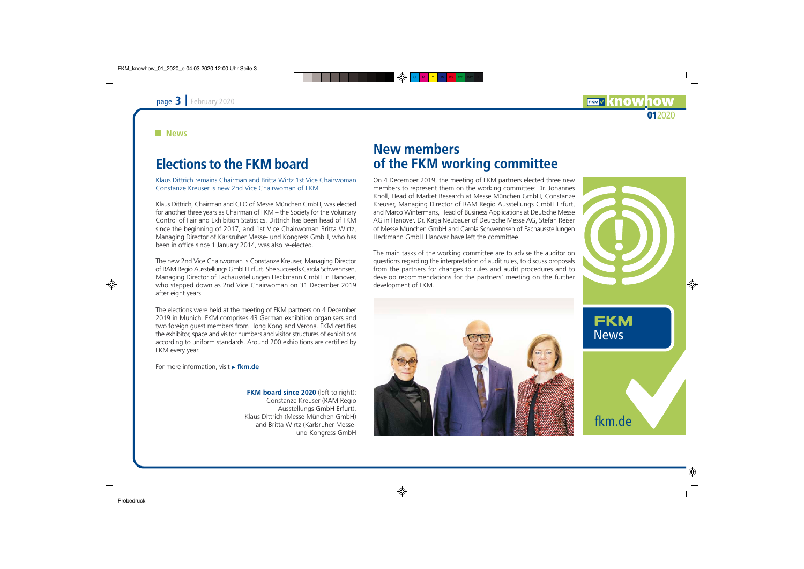#### <span id="page-2-0"></span>**News**

## Elections to the FKM board

Klaus Dittrich remains Chairman and Britta Wirtz 1st Vice Chairwoman Constanze Kreuser is new 2nd Vice Chairwoman of FKM

Klaus Dittrich, Chairman and CEO of Messe München GmbH, was elected for another three years as Chairman of FKM – the Society for the Voluntary Control of Fair and Exhibition Statistics. Dittrich has been head of FKM since the beginning of 2017, and 1st Vice Chairwoman Britta Wirtz, Managing Director of Karlsruher Messe- und Kongress GmbH, who has been in office since 1 January 2014, was also re-elected.

The new 2nd Vice Chairwoman is Constanze Kreuser, Managing Director of RAM Regio Ausstellungs GmbH Erfurt. She succeeds Carola Schwennsen, Managing Director of Fachausstellungen Heckmann GmbH in Hanover, who stepped down as 2nd Vice Chairwoman on 31 December 2019 after eight years.

The elections were held at the meeting of FKM partners on 4 December 2019 in Munich. FKM comprises 43 German exhibition organisers and two foreign guest members from Hong Kong and Verona. FKM certifies the exhibitor, space and visitor numbers and visitor structures of exhibitions according to uniform standards. Around 200 exhibitions are certified by FKM every year.

For more information, visit **Firm.de** 

**FKM board since 2020** (left to right): Constanze Kreuser (RAM Regio Ausstellungs GmbH Erfurt), Klaus Dittrich (Messe München GmbH) and Britta Wirtz (Karlsruher Messeund Kongress GmbH

## New members of the FKM working committee

On 4 December 2019, the meeting of FKM partners elected three new members to represent them on the working committee: Dr. Johannes Knoll, Head of Market Research at Messe München GmbH, Constanze Kreuser, Managing Director of RAM Regio Ausstellungs GmbH Erfurt, and Marco Wintermans, Head of Business Applications at Deutsche Messe AG in Hanover. Dr. Katja Neubauer of Deutsche Messe AG, Stefan Reiser of Messe München GmbH and Carola Schwennsen of Fachausstellungen Heckmann GmbH Hanover have left the committee.

The main tasks of the working committee are to advise the auditor on questions regarding the interpretation of audit rules, to discuss proposals from the partners for changes to rules and audit procedures and to develop recommendations for the partners' meeting on the further development of FKM.





**FKMV KNOW** 

012020

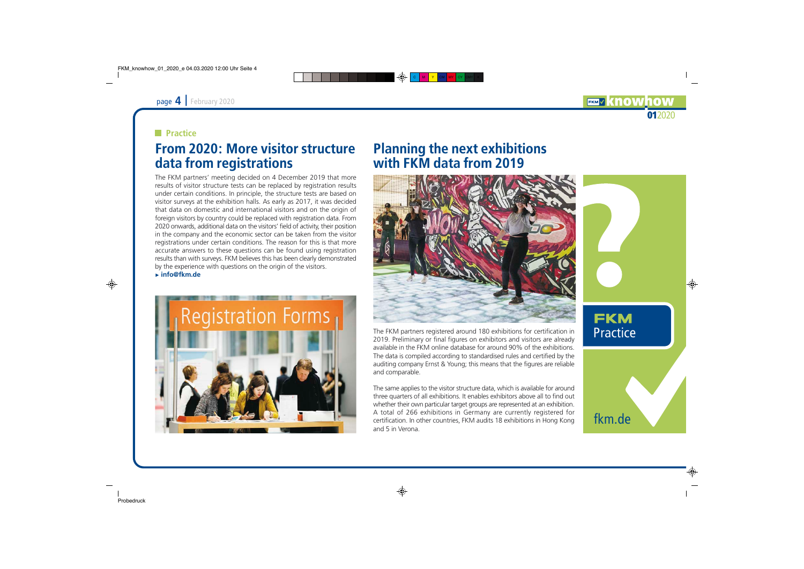### <span id="page-3-0"></span>**Practice**

## From 2020: More visitor structure data from registrations

The FKM partners' meeting decided on 4 December 2019 that more results of visitor structure tests can be replaced by registration results under certain conditions. In principle, the structure tests are based on visitor surveys at the exhibition halls. As early as 2017, it was decided that data on domestic and international visitors and on the origin of foreign visitors by country could be replaced with registration data. From 2020 onwards, additional data on the visitors' field of activity, their position in the company and the economic sector can be taken from the visitor registrations under certain conditions. The reason for this is that more accurate answers to these questions can be found using registration results than with surveys. FKM believes this has been clearly demonstrated by the experience with questions on the origin of the visitors. **► [info@fkm.de](mailto:info@fkm.de)** 



## Planning the next exhibitions with FKM data from 2019



The FKM partners registered around 180 exhibitions for certification in 2019. Preliminary or final figures on exhibitors and visitors are already available in the FKM online database for around 90% of the exhibitions. The data is compiled according to standardised rules and certified by the auditing company Ernst & Young; this means that the figures are reliable and comparable.

The same applies to the visitor structure data, which is available for around three quarters of all exhibitions. It enables exhibitors above all to find out whether their own particular target groups are represented at an exhibition. A total of 266 exhibitions in Germany are currently registered for certification. In other countries, FKM audits 18 exhibitions in Hong Kong and 5 in Verona.



012020

**EKMV KNOW**